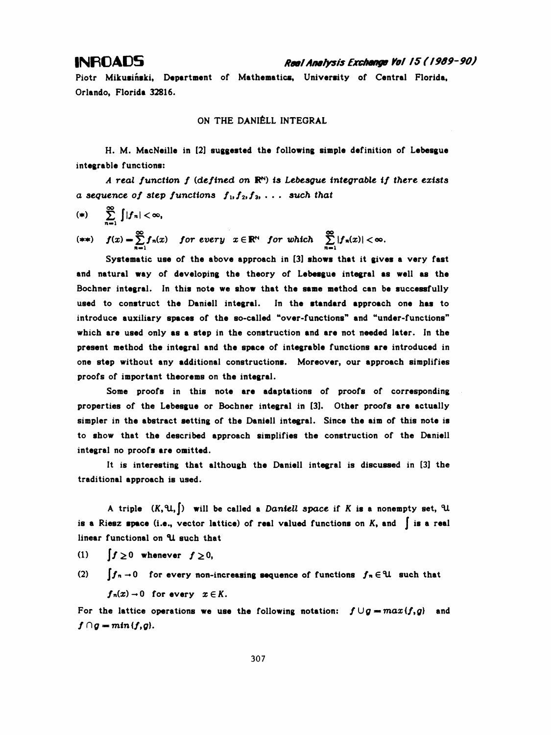## INFO ADS Rae! Analysis Exchange Vai /5 ( I9Õ9-90)

 Piotr Mikusiński, Department of Mathematics, University of Central Florida, Orlando, Florida 32816.

ON THE DANIÊLL INTEGRAL

 H. M. MacNeille in [2] suggested the following simple definition of Lebesgue integrable functions:

A real function  $f$  (defined on  $\mathbb{R}^N$ ) is Lebesgue integrable if there exists a sequence of step functions  $f_1, f_2, f_3, \ldots$  such that

$$
(*)\qquad \sum_{n=1}^{\infty}\int|f_n|<\infty,
$$

(\*\*)  $f(x) = \sum f_n(x)$  for every  $x \in \mathbb{R}^N$  for which  $\sum |f_n(x)| < \infty$ .  $\sum_{n=1}^{\infty} f_n(x)$  for every  $x \in \mathbb{R}^N$  for which  $\sum_{n=1}^{\infty} f_n(x)$ <br>istic use of the shove approach in [3] shows

 Systematic use of the above approach in [3] shows that it gives a very fast and natural way of developing the theory of Lebesgue integral as well as the Bochner integral. In this note we show that the same method can be successfully used to construct the Danieli integral. In the standard approach one has to introduce auxiliary spaces of the so-called "over-functions" and "under-functions" which are used only as a step in the construction and are not needed later. In the present method the integral and the space of integrable functions are introduced in one step without any additional constructions. Moreover, our approach simplifies proofs of important theorems on the integral.

 Some proofs in this note are adaptations of proofs of corresponding properties of the Lebesgue or Bochner integral in [3]. Other proofs are actually simpler in the abstract setting of the Danieli integral. Since the aim of this note is to show that the described approach simplifies the construction of the Danieli integral no proofs are omitted.

 It is interesting that although the Danieli integral is discussed in [3] the traditional approach is used.

A triple  $(K, \mathfrak{U}, \lceil)$  will be called a Daniell space if K is a nonempty set,  $\mathfrak{U}$ is a Riesz space (i.e., vector lattice) of real valued functions on  $K$ , and  $\int$  is a real linear functional on U such that

(1)  $\int f\geq 0$  whenever  $f\geq 0$ ,

(2)  $\int f_n \to 0$  for every non-increasing sequence of functions  $f_n \in \mathcal{U}$  such that  $f_n(x) \to 0$  for every  $x \in K$ .

For the lattice operations we use the following notation:  $f \cup g = max(f, g)$  and  $f \cap g = min(f,g).$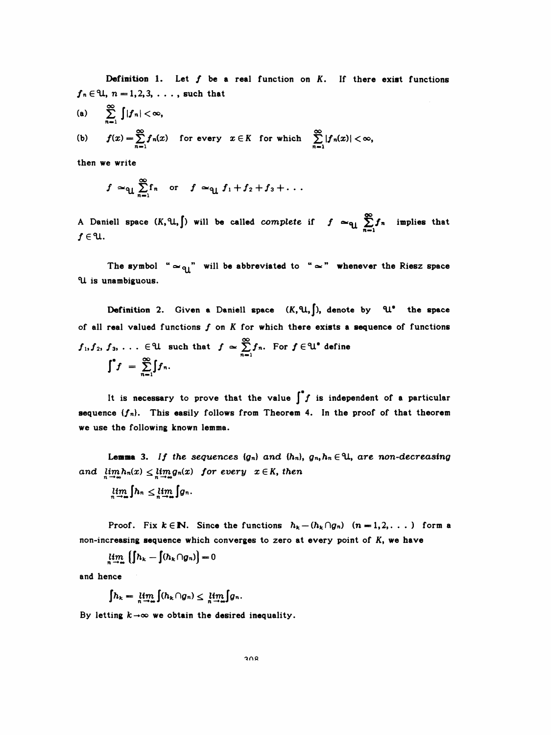Definition 1. Let  $f$  be a real function on  $K$ . If there exist functions  $f_n \in \mathcal{U}, n = 1, 2, 3, \ldots$ , such that

(a) 
$$
\sum_{n=1}^{\infty} \int |f_n| < \infty,
$$
  
\n(b) 
$$
f(x) = \sum_{n=1}^{\infty} f_n(x) \text{ for every } x \in K \text{ for which } \sum_{n=1}^{\infty} |f_n(x)| < \infty,
$$

then we write

$$
f \simeq_{\text{ul}} \sum_{n=1}^{\infty} f_n
$$
 or  $f \simeq_{\text{ul}} f_1 + f_2 + f_3 + \ldots$ 

A Daniell space  $(K, \mathfrak{U}, \int)$  will be called *complete* if  $f \cong_{\mathfrak{U}} \sum_{n=1}^{\infty} f_n$  implies that  $f \in \mathcal{U}$ .

The symbol " $\simeq q$ " will be abbreviated to " $\simeq$ " whenever the Riesz space U is unambiguous.

Definition 2. Given a Daniell space  $(K,\mathfrak{U},\int)$ , denote by  $\mathfrak{U}^*$  the space of all real valued functions  $f$  on  $K$  for which there exists a sequence of functions  $f_1, f_2, f_3, \ldots \in \mathcal{U}$  such that  $f \sim \sum_{i=1}^{\infty} f_n$ . For  $f \in \mathcal{U}^*$  define  $\int^{\bullet} f = \sum_{n=1}^{\infty} \int f_n.$ 

It is necessary to prove that the value  $\int f$  is independent of a particular sequence  ${f_n}$ . This easily follows from Theorem 4. In the proof of that theorem we use the following known lemma.

**Lemma** 3. If the sequences  $\{g_n\}$  and  $\{h_n\}$ ,  $g_n, h_n \in \mathcal{H}$ , are non-decreasing and  $\lim_{n \to \infty} h_n(x) \leq \lim_{n \to \infty} g_n(x)$  for every  $x \in K$ , then

$$
\lim_{n\to\infty}\int h_n\leq \lim_{n\to\infty}\int g_n.
$$

Proof. Fix  $k \in \mathbb{N}$ . Since the functions  $h_k - (h_k \cap g_n)$   $(n = 1, 2, \ldots)$  form a non-increasing sequence which converges to zero at every point of K, we have

$$
\lim_{n\to\infty}\left(\int h_{k}-\int(h_{k}\cap g_{n})\right)=0
$$

and hence

$$
\int h_k = \lim_{n \to \infty} \int (h_k \cap g_n) \leq \lim_{n \to \infty} \int g_n.
$$

By letting  $k \rightarrow \infty$  we obtain the desired inequality.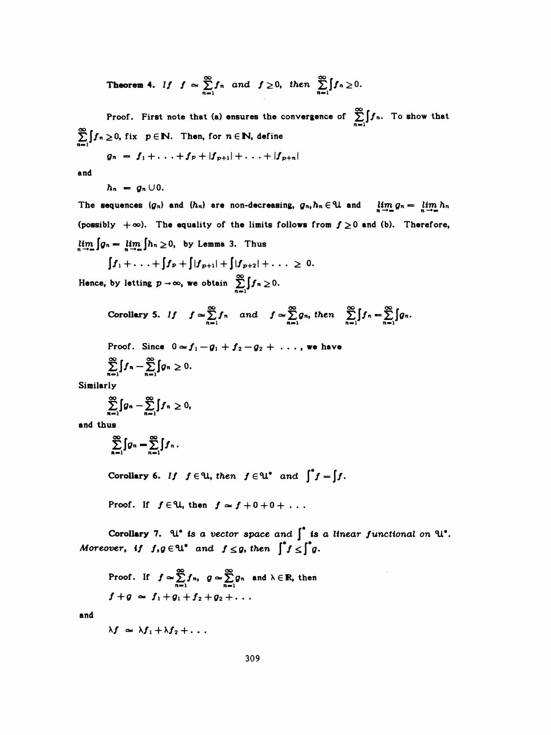**Theorem 4.** If 
$$
f \approx \sum_{n=1}^{\infty} f_n
$$
 and  $f \ge 0$ , then  $\sum_{n=1}^{\infty} \int f_n \ge 0$ .

Proof. First note that (a) ensures the convergence of  $\sum_{n=1}^{\infty} \int f_n$ . To show that  $\sum_{n=1}^{\infty} \int f_n \geq 0$ , fix  $p \in \mathbb{N}$ . Then, for  $n \in \mathbb{N}$ , define

$$
g_n = f_1 + \ldots + f_p + |f_{p+1}| + \ldots + |f_{p+n}|
$$

and

 $h_n = g_n \cup 0.$ 

The sequences  $\{g_n\}$  and  $\{h_n\}$  are non-decreasing,  $g_n, h_n \in \mathcal{U}$  and  $\lim_{n \to \infty} g_n = \lim_{n \to \infty} h_n$ (possibly  $+\infty$ ). The equality of the limits follows from  $f \ge 0$  and (b). Therefore,  $\lim_{n \to \infty} \int g_n = \lim_{n \to \infty} \int h_n \ge 0$ , by Lemma 3. Thus

$$
\int f_1 + \ldots + \int f_p + \int |f_{p+1}| + \int |f_{p+2}| + \ldots \ge 0.
$$
  
Hence, by letting  $p \to \infty$ , we obtain  $\sum_{n=1}^{\infty} \int f_n \ge 0$ .

Corollary 5. If 
$$
f \approx \sum_{n=1}^{\infty} f_n
$$
 and  $f \approx \sum_{n=1}^{\infty} g_n$ , then  $\sum_{n=1}^{\infty} \int f_n = \sum_{n=1}^{\infty} \int g_n$ .

Proof. Since 
$$
0 \approx f_1 - g_1 + f_2 - g_2 + \ldots
$$
, we have  
\n
$$
\sum_{n=1}^{\infty} \int f_n - \sum_{n=1}^{\infty} \int g_n \ge 0.
$$

Similarly

$$
\sum_{n=1}^{\infty} \int g_n - \sum_{n=1}^{\infty} \int f_n \geq 0,
$$

and thus

$$
\sum_{n=1}^{\infty} \int g_n = \sum_{n=1}^{\infty} \int f_n.
$$

Corollary 6. If  $f \in \mathcal{U}$ , then  $f \in \mathcal{U}^*$  and  $\int^* f = \int f$ .

Proof. If  $f \in \mathcal{U}$ , then  $f \simeq f + 0 + 0 + \ldots$ 

Corollary 7. U<sup>\*</sup> is a vector space and  $\int^*$  is a linear functional on U<sup>\*</sup>.<br>Moreover, if  $f, g \in \mathbb{U}^*$  and  $f \le g$ , then  $\int^* f \le \int^* g$ .

Proof. If 
$$
f \approx \sum_{n=1}^{\infty} f_n
$$
,  $g \approx \sum_{n=1}^{\infty} g_n$  and  $\lambda \in \mathbb{R}$ , then  
\n $f+g \approx f_1+g_1+f_2+g_2+\ldots$ 

and

$$
\lambda f \simeq \lambda f_1 + \lambda f_2 + \ldots
$$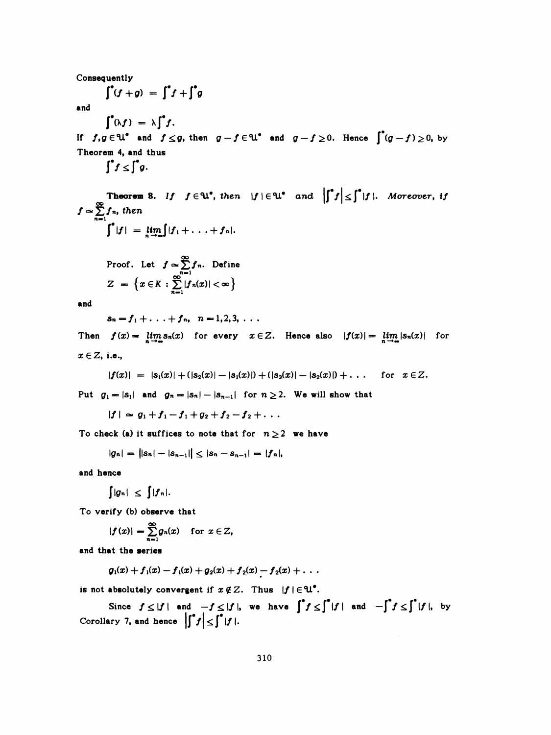Consequently

$$
\int^{\bullet} (f+g) = \int^{\bullet} f + \int^{\bullet} g
$$

and

 $\int^{\bullet} (\lambda f) = \lambda \int^{\bullet} f.$ 

If  $f, g \in \mathbb{U}^*$  and  $f \leq g$ , then  $g - f \in \mathbb{U}^*$  and  $g - f \geq 0$ . Hence  $\int^*(g - f) \geq 0$ , by Theorem 4, and thus

 $\int^{\bullet} f \leq \int^{\bullet} g$ .

**Theorem 8.** If  $f \in \mathcal{U}^*$ , then  $|f| \in \mathcal{U}^*$  and  $\left| \int^* f \right| \leq \int^* |f|$ . Moreover, if  $f \simeq \sum_{n=1}^{\infty} f_n$ , then  $\int^* |f| = \lim_{n \to \infty} |f_1 + \ldots + f_n|.$ 

Proof. Let 
$$
f \propto \sum_{n=1}^{\infty} f_n
$$
. Define  
\n
$$
Z = \left\{ x \in K : \sum_{n=1}^{\infty} |f_n(x)| < \infty \right\}
$$

and

 $s_n = f_1 + \ldots + f_n, \quad n = 1, 2, 3, \ldots$ 

Then  $f(x) = \lim_{n \to \infty} s_n(x)$  for every  $x \in Z$ . Hence also  $|f(x)| = \lim_{n \to \infty} |s_n(x)|$  for  $x \in Z$ , i.e.,

$$
|f(x)| = |s_1(x)| + (|s_2(x)| - |s_1(x)|) + (|s_3(x)| - |s_2(x)|) + \dots \quad \text{for } x \in \mathbb{Z}.
$$

Put  $g_1 = |s_1|$  and  $g_n = |s_n| - |s_{n-1}|$  for  $n \ge 2$ . We will show that

 $|f| \approx g_1 + f_1 - f_1 + g_2 + f_2 - f_2 + \ldots$ 

To check (a) it suffices to note that for  $n \ge 2$  we have

$$
|g_n| = ||s_n| - |s_{n-1}|| \leq |s_n - s_{n-1}| = |f_n|,
$$

and hence

$$
\int |g_n| \leq \int |f_n|.
$$

To verify (b) observe that

$$
|f(x)| = \sum_{n=1}^{\infty} g_n(x) \quad \text{for } x \in Z,
$$

and that the series

$$
g_1(x)+f_1(x)-f_1(x)+g_2(x)+f_2(x)-f_2(x)+\ldots
$$

is not absolutely convergent if  $x \notin Z$ . Thus  $|f| \in \mathfrak{U}^*$ .

Since  $f \leq |f|$  and  $-f \leq |f|$ , we have  $\int^* f \leq \int^* |f|$  and  $-\int^* f \leq \int^* |f|$ , by Corollary 7, and hence  $\left|\int^{\bullet} f\right| \leq \int^{\bullet} |f|$ .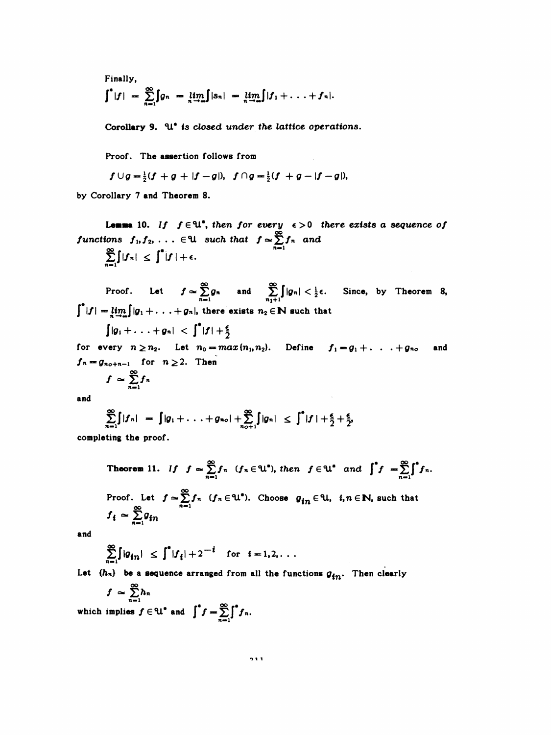Finally,

$$
\int^*|f| = \sum_{n=1}^{\infty} \int_{\mathcal{G}^n} g_n = \lim_{n \to \infty} \int_{\mathcal{G}^n} |s_n| = \lim_{n \to \infty} \int_{\mathcal{G}^n} |f_1 + \ldots + f_n|.
$$

Corollary 9. U<sup>\*</sup> is closed under the lattice operations.

Proof. The assertion follows from

 $f \cup g = \frac{1}{2}(f + g + |f - g|), \ f \cap g = \frac{1}{2}(f + g - |f - g|),$ 

by Corollary 7 and Theorem 8.

**Lemma** 10. If  $f \in \mathcal{U}^*$ , then for every  $\epsilon > 0$  there exists a sequence of functions  $f_1, f_2, \ldots \in \mathbb{U}$  such that  $f \approx \sum_{n=1}^{\infty} f_n$  and<br>  $\sum_{n=1}^{\infty} [f(x)] \neq f^* (x)$  $\epsilon$ .

$$
\sum_{n=1} |f_n| \leq |f| +
$$

Proof. Let  $f \approx \sum_{n=1}^{\infty} g_n$  and  $\sum_{n_1+1}^{\infty} |g_n| < \frac{1}{2} \epsilon$ . Since, by Theorem 8,<br> $\int_{0}^{*} |f| = \lim_{n \to \infty} |g_1 + \ldots + g_n|$ , there exists  $n_2 \in \mathbb{N}$  such that

$$
|g_1+\ldots+g_n|~<~\int^{\bullet}|f|+\frac{\epsilon}{2}
$$

for every  $n \ge n_2$ . Let  $n_0 = max(n_1, n_2)$ . Define  $f_1 = g_1 + \ldots + g_{n_0}$ and  $f_n = g_{n_0+n-1}$  for  $n \ge 2$ . Then

$$
f \simeq \sum_{n=1}^{\infty} f_n
$$

and

$$
\sum_{n=1}^{\infty} \int |f_n| = \int |g_1 + \ldots + g_{n\circ}| + \sum_{n=1}^{\infty} \int |g_n| \leq \int^* |f| + \frac{\epsilon}{2} + \frac{\epsilon}{2},
$$

completing the proof.

**Theorem 11.** If 
$$
f \approx \sum_{n=1}^{\infty} f_n
$$
  $(f_n \in \mathbb{U}^*)$ , then  $f \in \mathbb{U}^*$  and  $\int^* f = \sum_{n=1}^{\infty} \int^* f_n$ .  
\nProof. Let  $f \approx \sum_{n=1}^{\infty} f_n$   $(f_n \in \mathbb{U}^*)$ . Choose  $g_{in} \in \mathbb{U}$ ,  $i, n \in \mathbb{N}$ , such that  $f_i \approx \sum_{n=1}^{\infty} g_{in}$ 

and

$$
\sum_{n=1}^{\infty} \int |g_{in}| \leq \int^* |f_i| + 2^{-i} \quad \text{for} \quad i = 1, 2, \ldots
$$

Let  $\{h_n\}$  be a sequence arranged from all the functions  $g_{in}$ . Then clearly

$$
f \simeq \sum_{n=1}^{\infty} h_n
$$
  
which implies  $f \in \mathcal{U}^*$  and  $\int^* f = \sum_{n=1}^{\infty} \int^* f_n$ .